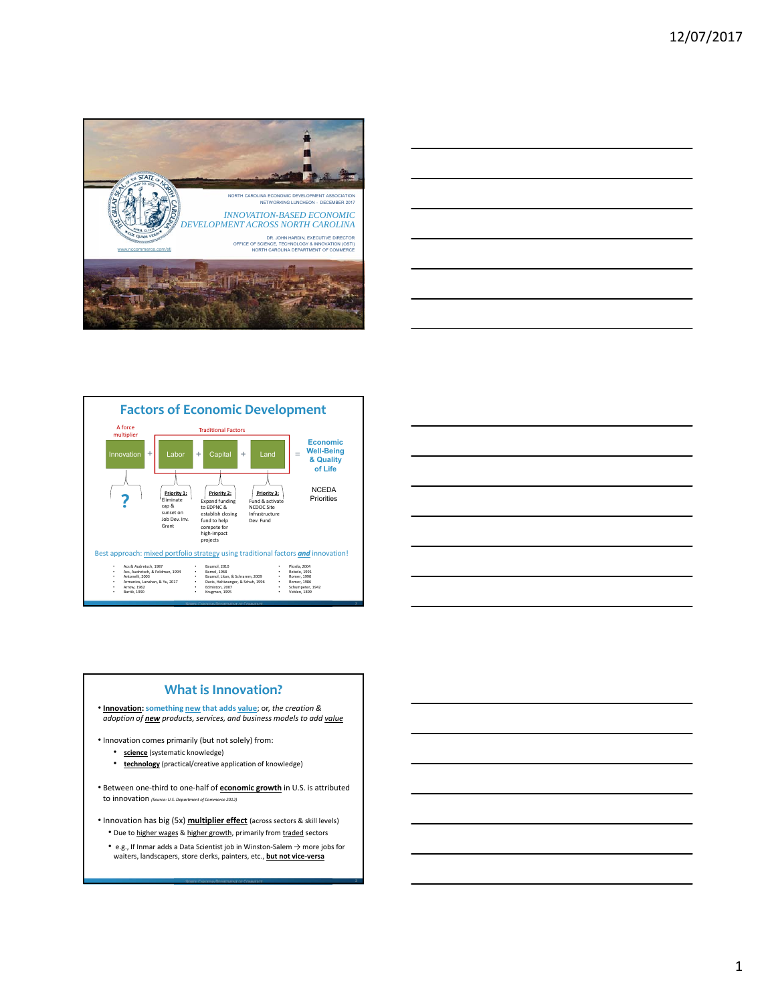







## **What is Innovation?**

- **Innovation: something new that adds value**; or, *the creation & adoption of new products, services, and business models to add value*
- Innovation comes primarily (but not solely) from:
	- **science** (systematic knowledge)
	- **technology** (practical/creative application of knowledge)
- Between one‐third to one‐half of **economic growth** in U.S. is attributed to innovation *(Source: U.S. Department of Commerce 2012)*
- Innovation has big (5x) **multiplier effect** (across sectors & skill levels) • Due to higher wages & higher growth, primarily from traded sectors
	- e.g., If Inmar adds a Data Scientist job in Winston-Salem  $\rightarrow$  more jobs for waiters, landscapers, store clerks, painters, etc., **but not vice‐versa**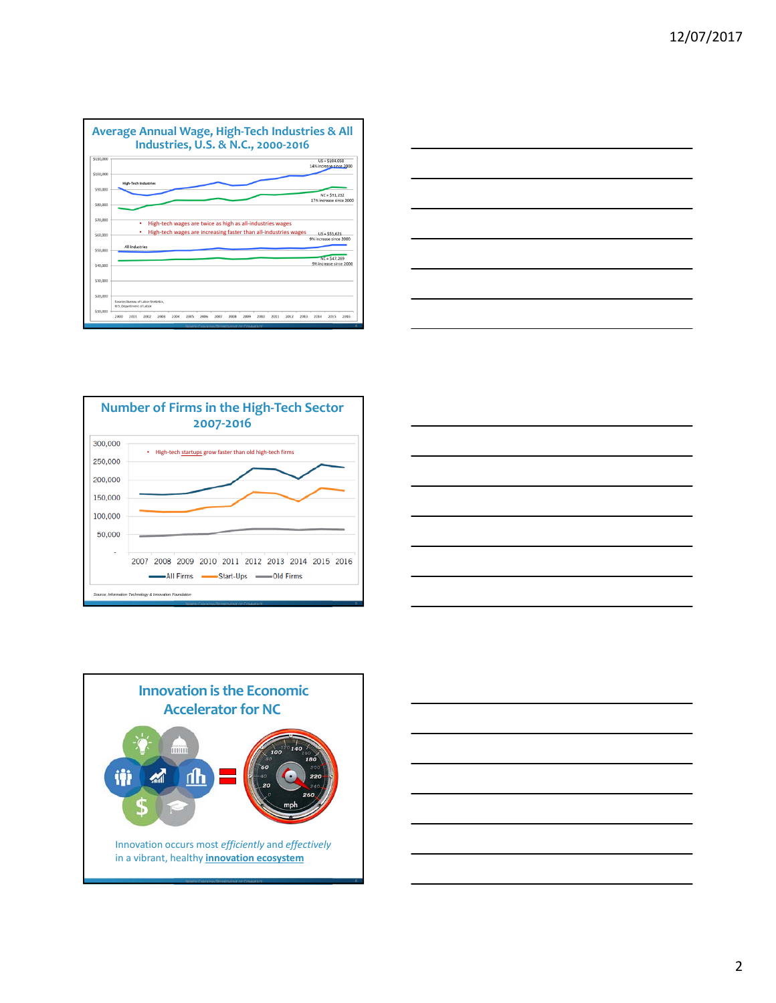









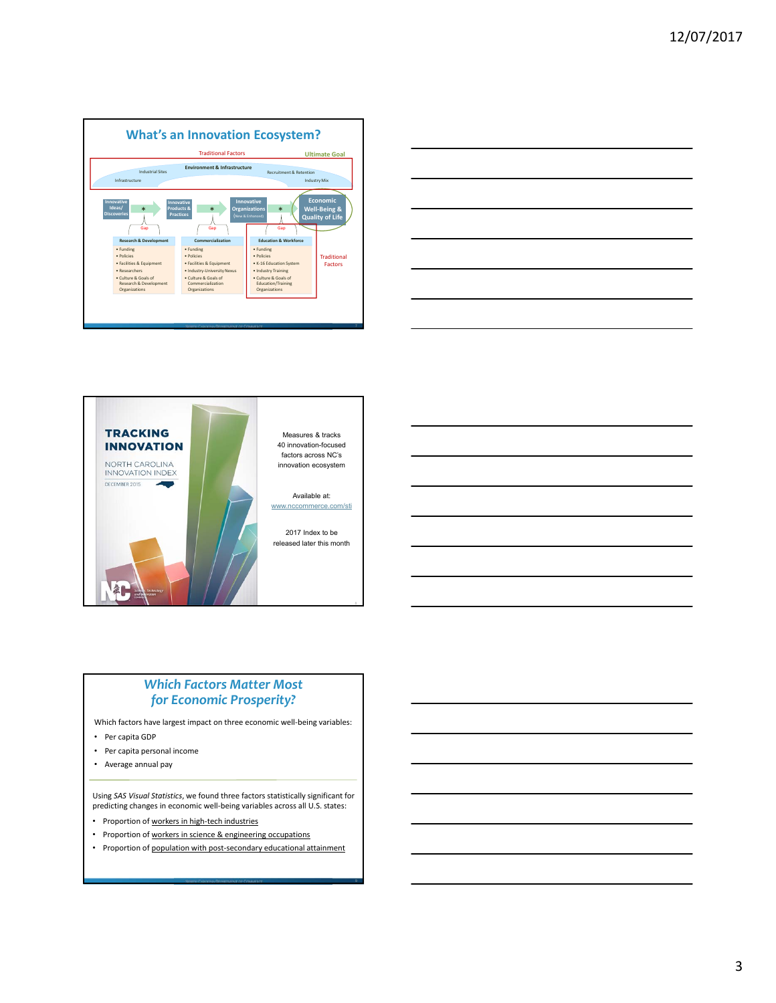





## *Which Factors Matter Most for Economic Prosperity?*

Which factors have largest impact on three economic well‐being variables:

- Per capita GDP
- Per capita personal income
- Average annual pay

Using *SAS Visual Statistics*, we found three factors statistically significant for predicting changes in economic well‐being variables across all U.S. states:

- Proportion of workers in high-tech industries
- Proportion of workers in science & engineering occupations
- Proportion of population with post‐secondary educational attainment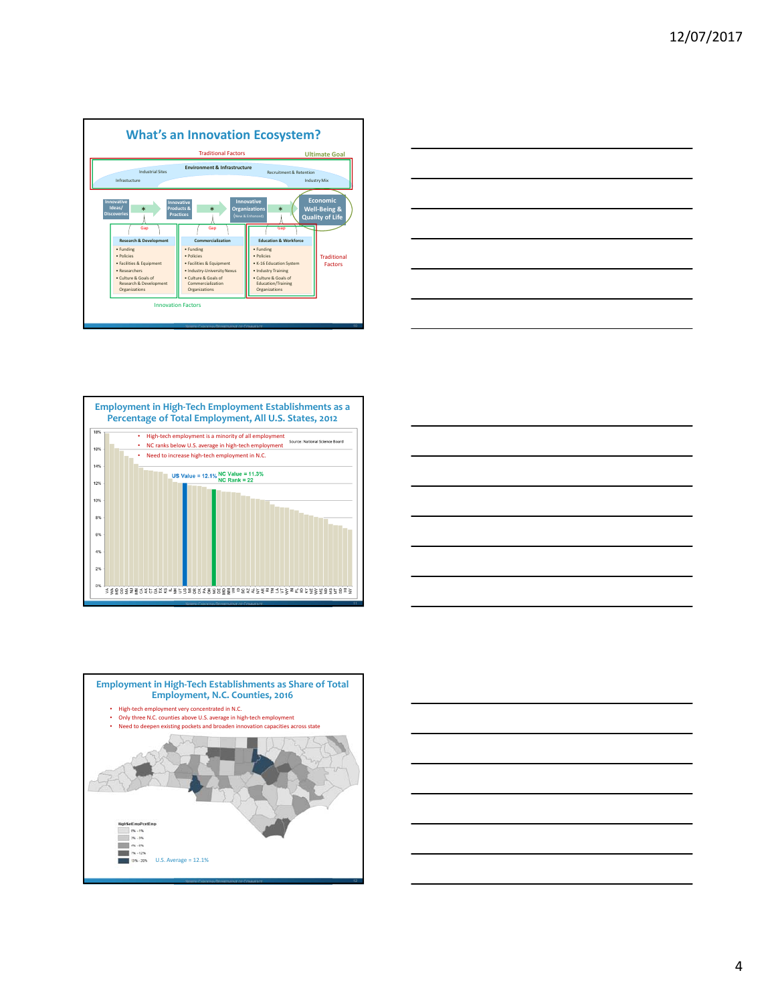